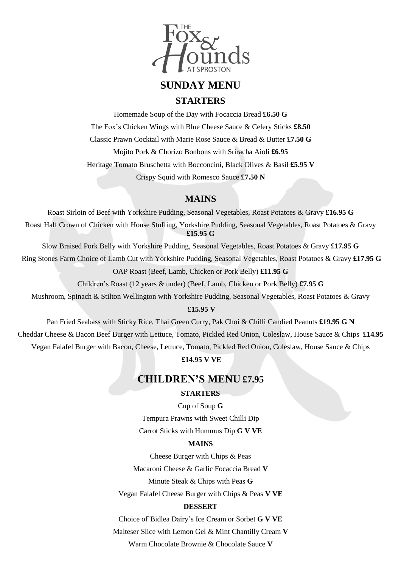

# **SUNDAY MENU STARTERS**

Homemade Soup of the Day with Focaccia Bread **£6.50 G** The Fox's Chicken Wings with Blue Cheese Sauce & Celery Sticks **£8.50** Classic Prawn Cocktail with Marie Rose Sauce & Bread & Butter **£7.50 G** Mojito Pork & Chorizo Bonbons with Sriracha Aioli **£6.95** Heritage Tomato Bruschetta with Bocconcini, Black Olives & Basil **£5.95 V** Crispy Squid with Romesco Sauce **£7.50 N**

### **MAINS**

Roast Sirloin of Beef with Yorkshire Pudding, Seasonal Vegetables, Roast Potatoes & Gravy **£16.95 G** Roast Half Crown of Chicken with House Stuffing, Yorkshire Pudding, Seasonal Vegetables, Roast Potatoes & Gravy **£15.95 G**

Slow Braised Pork Belly with Yorkshire Pudding, Seasonal Vegetables, Roast Potatoes & Gravy **£17.95 G**

Ring Stones Farm Choice of Lamb Cut with Yorkshire Pudding, Seasonal Vegetables, Roast Potatoes & Gravy **£17.95 G** OAP Roast (Beef, Lamb, Chicken or Pork Belly) **£11.95 G**

Children's Roast (12 years & under) (Beef, Lamb, Chicken or Pork Belly) **£7.95 G**

Mushroom, Spinach & Stilton Wellington with Yorkshire Pudding, Seasonal Vegetables, Roast Potatoes & Gravy

**£15.95 V**

Pan Fried Seabass with Sticky Rice, Thai Green Curry, Pak Choi & Chilli Candied Peanuts **£19.95 G N**

Cheddar Cheese & Bacon Beef Burger with Lettuce, Tomato, Pickled Red Onion, Coleslaw, House Sauce & Chips **£14.95**

Vegan Falafel Burger with Bacon, Cheese, Lettuce, Tomato, Pickled Red Onion, Coleslaw, House Sauce & Chips

**£14.95 V VE**

### **CHILDREN'S MENU £7.95**

#### **STARTERS**

Cup of Soup **G**

Tempura Prawns with Sweet Chilli Dip

Carrot Sticks with Hummus Dip **G V VE**

#### **MAINS**

Cheese Burger with Chips & Peas

Macaroni Cheese & Garlic Focaccia Bread **V**

Minute Steak & Chips with Peas **G**

Vegan Falafel Cheese Burger with Chips & Peas **V VE**

#### **DESSERT**

Choice of`Bidlea Dairy's Ice Cream or Sorbet **G V VE**

Malteser Slice with Lemon Gel & Mint Chantilly Cream **V**

Warm Chocolate Brownie & Chocolate Sauce **V**